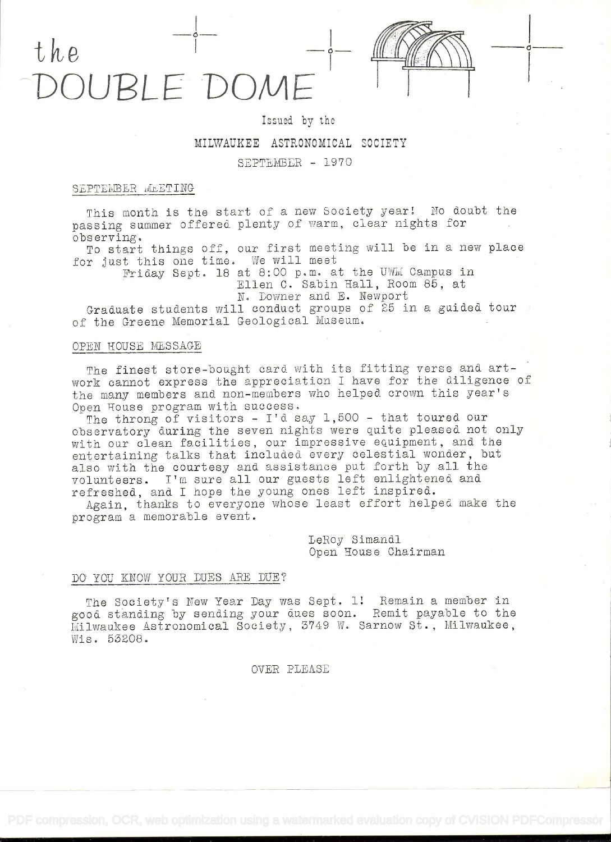

## Issued by the

# MILWAUKEE ASTRONOMICAL SOCIETY

#### SEPTLMBLR - 1970

# SEPTEMBER MEETING

This month is the start of a new Society year! No doubt the passing summer offered plenty of warm, clear nights for observing.

To start things off, our first meeting will be in a new place for jast this one time. We will meet

Friday Sept. 18 at 8:00 p.m. at the UWM Campus in Ellen C. Sabin Hall, Room 85, at N. Downer and E. Newport

Graduate students will conduct groups of 25 in a guided tour of the Greene Memorial Geological Museum.

### OPEN HOUSE MLS SAGE

The finest store-bought card with its fitting verse and artwork cannot express the appreciation I have for the diligence of the many members and non-members who helped crown this year's Open House program with success.

The throng of visitors -  $I'$ d say 1,500 - that toured our observatory daring the seven nights were quite pleased not only with our clean facilities, our impressive equipment, and the entertaining talks that included every celestial wonder, but also with the courtesy and assistance put forth by all the volunteers. Irn sure all our guests left enlightened and refreshed, and I hope the young ones left inspired.

Again, thanks to everyone whose least effort helped make the program a memorable event.

> LeRoy Simandi Open House Chairman

#### DO YOU KNOW YOUR DUES ARE DUE?

The Society's New Year Day was Sept. 1! Remain a member in good. standing by sending your dues soon. Remit payable to the Milwaukee Astronomical Society, 3749 W. Sarnow St., Milwaukee, Wie. 532O8.

OVER PLEASE